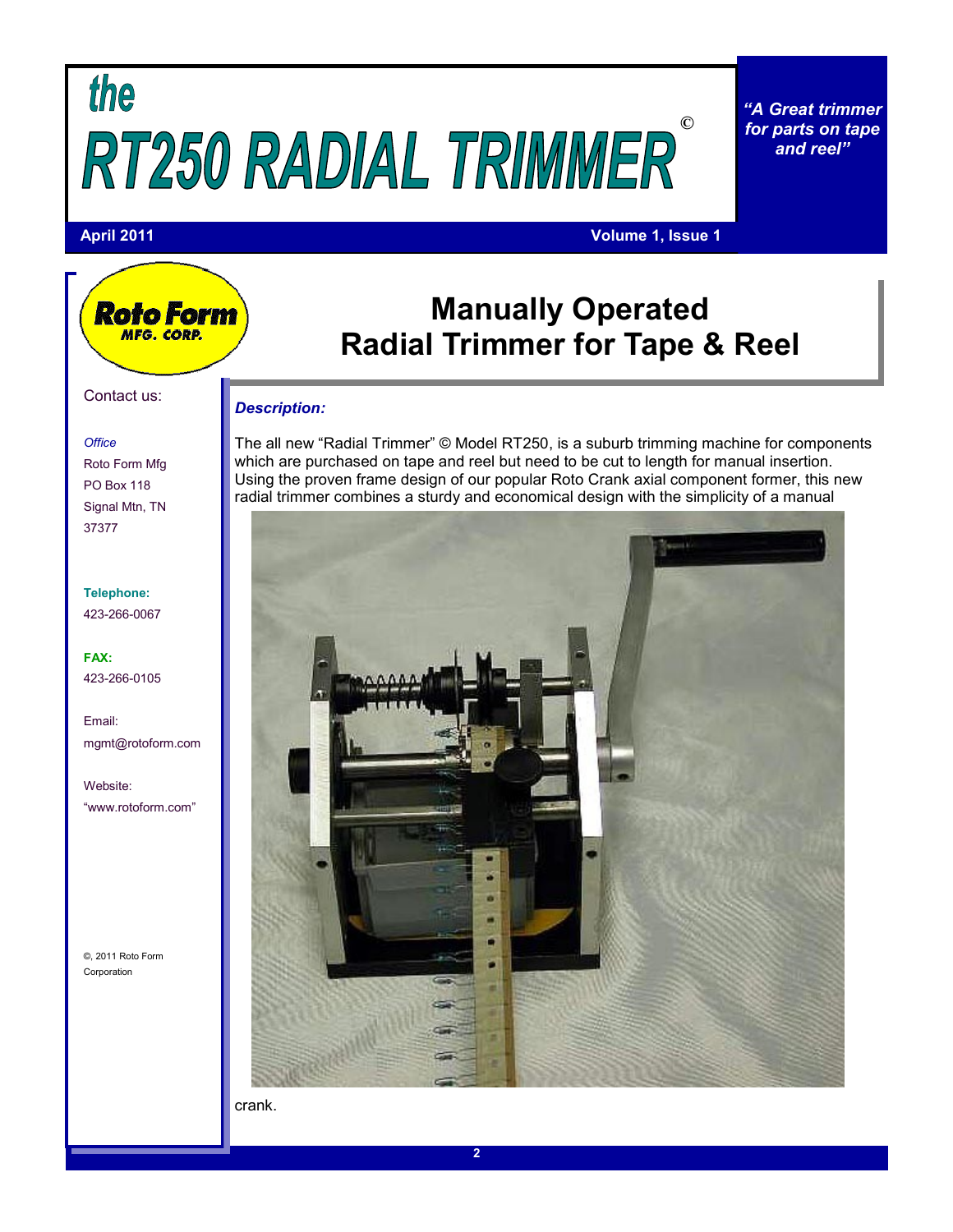## the **©**

*"A Great trimmer for parts on tape and reel"*

#### **April 2011 Volume 1, Issue 1**

### **Manually Operated Radial Trimmer for Tape & Reel**

#### *Description:*

The all new "Radial Trimmer" © Model RT250, is a suburb trimming machine for components which are purchased on tape and reel but need to be cut to length for manual insertion. Using the proven frame design of our popular Roto Crank axial component former, this new radial trimmer combines a sturdy and economical design with the simplicity of a manual



crank.

#### Contact us:

Roto Form MFG. CORP.

#### *Office*

Roto Form Mfg PO Box 118 Signal Mtn, TN 37377

**Telephone:** 423-266-0067

**FAX:** 423-266-0105

Email: mgmt@rotoform.com

Website: "www.rotoform.com"

©, 2011 Roto Form Corporation